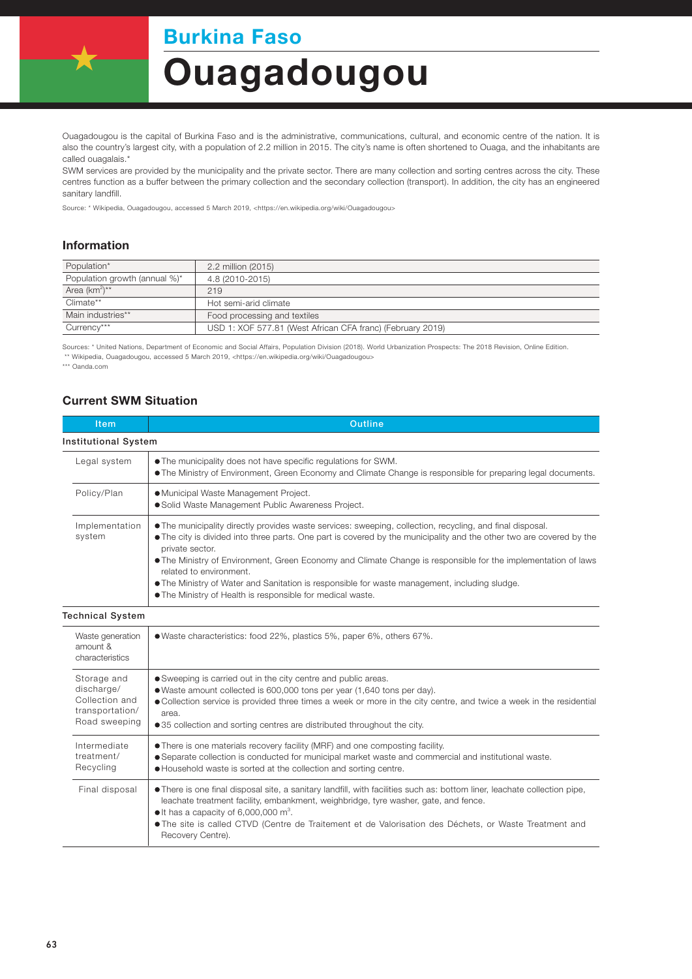## Burkina Faso

# Ouagadougou

Ouagadougou is the capital of Burkina Faso and is the administrative, communications, cultural, and economic centre of the nation. It is also the country's largest city, with a population of 2.2 million in 2015. The city's name is often shortened to Ouaga, and the inhabitants are called ouagalais.\*

SWM services are provided by the municipality and the private sector. There are many collection and sorting centres across the city. These centres function as a buffer between the primary collection and the secondary collection (transport). In addition, the city has an engineered sanitary landfill.

Source: \* Wikipedia, Ouagadougou, accessed 5 March 2019, <https://en.wikipedia.org/wiki/Ouagadougou>

#### Information

| Population*                   | 2.2 million (2015)                                         |  |
|-------------------------------|------------------------------------------------------------|--|
| Population growth (annual %)* | 4.8 (2010-2015)                                            |  |
| Area $(km^2)^{**}$            | 219                                                        |  |
| Climate**                     | Hot semi-arid climate                                      |  |
| Main industries**             | Food processing and textiles                               |  |
| Currency***                   | USD 1: XOF 577.81 (West African CFA franc) (February 2019) |  |

Sources: \* United Nations, Department of Economic and Social Affairs, Population Division (2018). World Urbanization Prospects: The 2018 Revision, Online Edition. \*\* Wikipedia, Ouagadougou, accessed 5 March 2019, <https://en.wikipedia.org/wiki/Ouagadougou>

\*\*\* Oanda.com

#### Current SWM Situation

| <b>Item</b>                                                                     | <b>Outline</b>                                                                                                                                                                                                                                                                                                                                                                                                                                                                                                                                                  |  |  |
|---------------------------------------------------------------------------------|-----------------------------------------------------------------------------------------------------------------------------------------------------------------------------------------------------------------------------------------------------------------------------------------------------------------------------------------------------------------------------------------------------------------------------------------------------------------------------------------------------------------------------------------------------------------|--|--|
| <b>Institutional System</b>                                                     |                                                                                                                                                                                                                                                                                                                                                                                                                                                                                                                                                                 |  |  |
| Legal system                                                                    | • The municipality does not have specific regulations for SWM.<br>• The Ministry of Environment, Green Economy and Climate Change is responsible for preparing legal documents.                                                                                                                                                                                                                                                                                                                                                                                 |  |  |
| Policy/Plan                                                                     | · Municipal Waste Management Project.<br>· Solid Waste Management Public Awareness Project.                                                                                                                                                                                                                                                                                                                                                                                                                                                                     |  |  |
| Implementation<br>system                                                        | • The municipality directly provides waste services: sweeping, collection, recycling, and final disposal.<br>• The city is divided into three parts. One part is covered by the municipality and the other two are covered by the<br>private sector.<br>. The Ministry of Environment, Green Economy and Climate Change is responsible for the implementation of laws<br>related to environment.<br>• The Ministry of Water and Sanitation is responsible for waste management, including sludge.<br>. The Ministry of Health is responsible for medical waste. |  |  |
| <b>Technical System</b>                                                         |                                                                                                                                                                                                                                                                                                                                                                                                                                                                                                                                                                 |  |  |
| Waste generation<br>amount &<br>characteristics                                 | • Waste characteristics: food 22%, plastics 5%, paper 6%, others 67%.                                                                                                                                                                                                                                                                                                                                                                                                                                                                                           |  |  |
| Storage and<br>discharge/<br>Collection and<br>transportation/<br>Road sweeping | • Sweeping is carried out in the city centre and public areas.<br>• Waste amount collected is 600,000 tons per year (1,640 tons per day).<br>• Collection service is provided three times a week or more in the city centre, and twice a week in the residential<br>area.<br>•35 collection and sorting centres are distributed throughout the city.                                                                                                                                                                                                            |  |  |
| Intermediate<br>treatment/<br>Recycling                                         | • There is one materials recovery facility (MRF) and one composting facility.<br>• Separate collection is conducted for municipal market waste and commercial and institutional waste.<br>. Household waste is sorted at the collection and sorting centre.                                                                                                                                                                                                                                                                                                     |  |  |
| Final disposal                                                                  | • There is one final disposal site, a sanitary landfill, with facilities such as: bottom liner, leachate collection pipe,<br>leachate treatment facility, embankment, weighbridge, tyre washer, gate, and fence.<br>$\bullet$ It has a capacity of 6,000,000 m <sup>3</sup> .<br>· The site is called CTVD (Centre de Traitement et de Valorisation des Déchets, or Waste Treatment and<br>Recovery Centre).                                                                                                                                                    |  |  |